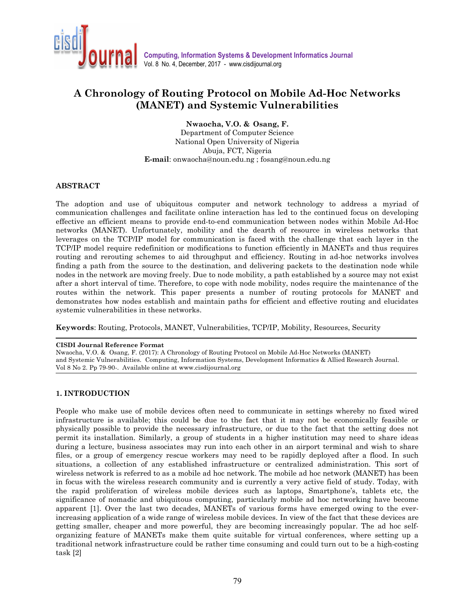

# A Chronology of Routing Protocol on Mobile Ad-Hoc Networks (MANET) and Systemic Vulnerabilities

Nwaocha, V.O. & Osang, F.

Department of Computer Science National Open University of Nigeria Abuja, FCT, Nigeria E-mail: onwaocha@noun.edu.ng ; fosang@noun.edu.ng

# ABSTRACT

The adoption and use of ubiquitous computer and network technology to address a myriad of communication challenges and facilitate online interaction has led to the continued focus on developing effective an efficient means to provide end-to-end communication between nodes within Mobile Ad-Hoc networks (MANET). Unfortunately, mobility and the dearth of resource in wireless networks that leverages on the TCP/IP model for communication is faced with the challenge that each layer in the TCP/IP model require redefinition or modifications to function efficiently in MANETs and thus requires routing and rerouting schemes to aid throughput and efficiency. Routing in ad-hoc networks involves finding a path from the source to the destination, and delivering packets to the destination node while nodes in the network are moving freely. Due to node mobility, a path established by a source may not exist after a short interval of time. Therefore, to cope with node mobility, nodes require the maintenance of the routes within the network. This paper presents a number of routing protocols for MANET and demonstrates how nodes establish and maintain paths for efficient and effective routing and elucidates systemic vulnerabilities in these networks.

Keywords: Routing, Protocols, MANET, Vulnerabilities, TCP/IP, Mobility, Resources, Security

#### CISDI Journal Reference Format

Nwaocha, V.O. & Osang, F. (2017): A Chronology of Routing Protocol on Mobile Ad-Hoc Networks (MANET) and Systemic Vulnerabilities. Computing, Information Systems, Development Informatics & Allied Research Journal. Vol 8 No 2. Pp 79-90-. Available online at www.cisdijournal.org

#### 1. INTRODUCTION

People who make use of mobile devices often need to communicate in settings whereby no fixed wired infrastructure is available; this could be due to the fact that it may not be economically feasible or physically possible to provide the necessary infrastructure, or due to the fact that the setting does not permit its installation. Similarly, a group of students in a higher institution may need to share ideas during a lecture, business associates may run into each other in an airport terminal and wish to share files, or a group of emergency rescue workers may need to be rapidly deployed after a flood. In such situations, a collection of any established infrastructure or centralized administration. This sort of wireless network is referred to as a mobile ad hoc network. The mobile ad hoc network (MANET) has been in focus with the wireless research community and is currently a very active field of study. Today, with the rapid proliferation of wireless mobile devices such as laptops, Smartphone's, tablets etc, the significance of nomadic and ubiquitous computing, particularly mobile ad hoc networking have become apparent [1]. Over the last two decades, MANETs of various forms have emerged owing to the everincreasing application of a wide range of wireless mobile devices. In view of the fact that these devices are getting smaller, cheaper and more powerful, they are becoming increasingly popular. The ad hoc selforganizing feature of MANETs make them quite suitable for virtual conferences, where setting up a traditional network infrastructure could be rather time consuming and could turn out to be a high-costing task [2]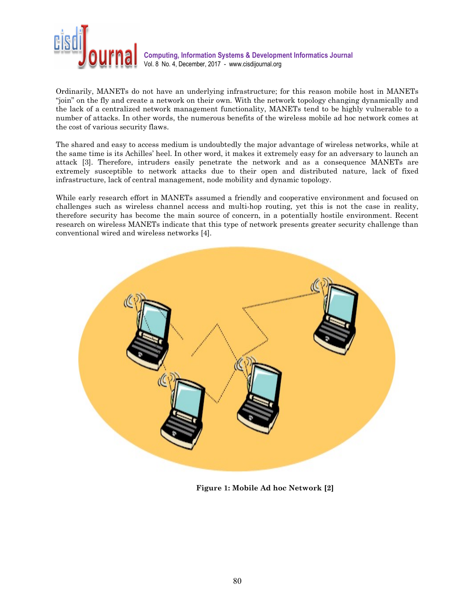

Ordinarily, MANETs do not have an underlying infrastructure; for this reason mobile host in MANETs "join" on the fly and create a network on their own. With the network topology changing dynamically and the lack of a centralized network management functionality, MANETs tend to be highly vulnerable to a number of attacks. In other words, the numerous benefits of the wireless mobile ad hoc network comes at the cost of various security flaws.

The shared and easy to access medium is undoubtedly the major advantage of wireless networks, while at the same time is its Achilles' heel. In other word, it makes it extremely easy for an adversary to launch an attack [3]. Therefore, intruders easily penetrate the network and as a consequence MANETs are extremely susceptible to network attacks due to their open and distributed nature, lack of fixed infrastructure, lack of central management, node mobility and dynamic topology.

While early research effort in MANETs assumed a friendly and cooperative environment and focused on challenges such as wireless channel access and multi-hop routing, yet this is not the case in reality, therefore security has become the main source of concern, in a potentially hostile environment. Recent research on wireless MANETs indicate that this type of network presents greater security challenge than conventional wired and wireless networks [4].



Figure 1: Mobile Ad hoc Network [2]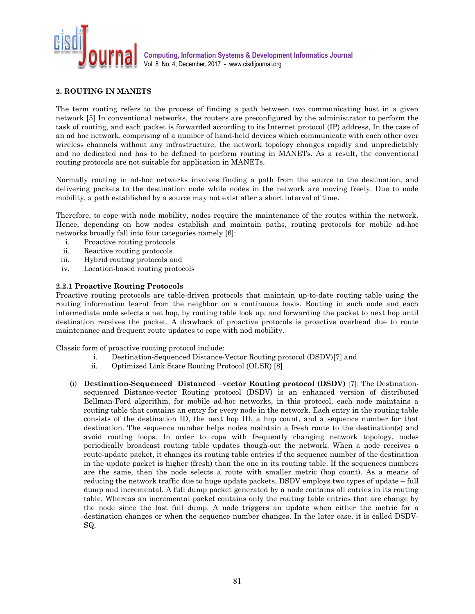

# 2. ROUTING IN MANETS

The term routing refers to the process of finding a path between two communicating host in a given network [5] In conventional networks, the routers are preconfigured by the administrator to perform the task of routing, and each packet is forwarded according to its Internet protocol (IP) address, In the case of an ad hoc network, comprising of a number of hand-held devices which communicate with each other over wireless channels without any infrastructure, the network topology changes rapidly and unpredictably and no dedicated nod has to be defined to perform routing in MANETs. As a result, the conventional routing protocols are not suitable for application in MANETs.

Normally routing in ad-hoc networks involves finding a path from the source to the destination, and delivering packets to the destination node while nodes in the network are moving freely. Due to node mobility, a path established by a source may not exist after a short interval of time.

Therefore, to cope with node mobility, nodes require the maintenance of the routes within the network. Hence, depending on how nodes establish and maintain paths, routing protocols for mobile ad-hoc networks broadly fall into four categories namely [6]:

- i. Proactive routing protocols
- ii. Reactive routing protocols
- iii. Hybrid routing protocols and
- iv. Location-based routing protocols

## 2.2.1 Proactive Routing Protocols

Proactive routing protocols are table-driven protocols that maintain up-to-date routing table using the routing information learnt from the neighbor on a continuous basis. Routing in such node and each intermediate node selects a net hop, by routing table look up, and forwarding the packet to next hop until destination receives the packet. A drawback of proactive protocols is proactive overhead due to route maintenance and frequent route updates to cope with nod mobility.

Classic form of proactive routing protocol include:

- i. Destination-Sequenced Distance-Vector Routing protocol (DSDV)[7] and
- ii. Optimized Link State Routing Protocol (OLSR) [8]
- (i) Destination-Sequenced Distanced –vector Routing protocol (DSDV) [7]: The Destinationsequenced Distance-vector Routing protocol (DSDV) is an enhanced version of distributed Bellman-Ford algorithm, for mobile ad-hoc networks, in this protocol, each node maintains a routing table that contains an entry for every node in the network. Each entry in the routing table consists of the destination ID, the next hop ID, a hop count, and a sequence number for that destination. The sequence number helps nodes maintain a fresh route to the destination(s) and avoid routing loops. In order to cope with frequently changing network topology, nodes periodically broadcast routing table updates though-out the network. When a node receives a route-update packet, it changes its routing table entries if the sequence number of the destination in the update packet is higher (fresh) than the one in its routing table. If the sequences numbers are the same, then the node selects a route with smaller metric (hop count). As a means of reducing the network traffic due to huge update packets, DSDV employs two types of update – full dump and incremental. A full dump packet generated by a node contains all entries in its routing table. Whereas an incremental packet contains only the routing table entries that are change by the node since the last full dump. A node triggers an update when either the metric for a destination changes or when the sequence number changes. In the later case, it is called DSDV-SQ.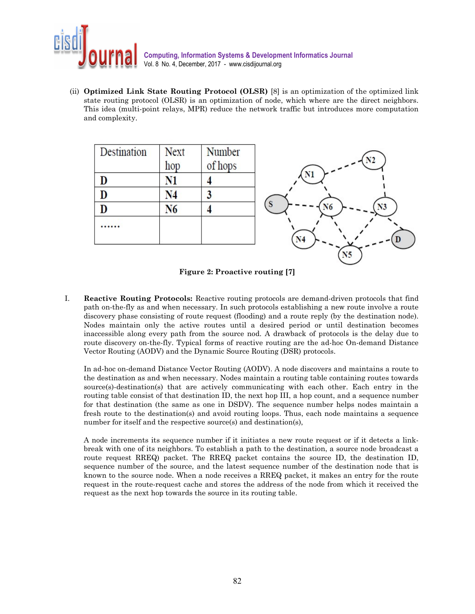

(ii) Optimized Link State Routing Protocol (OLSR) [8] is an optimization of the optimized link state routing protocol (OLSR) is an optimization of node, which where are the direct neighbors. This idea (multi-point relays, MPR) reduce the network traffic but introduces more computation and complexity.

| Destination | <b>Next</b><br>hop | Number<br>of hops |    |
|-------------|--------------------|-------------------|----|
|             | Ń1                 |                   | Nl |
|             | $\mathsf{N}4$      |                   |    |
| D           | N6                 |                   | N6 |
|             |                    |                   |    |
|             |                    |                   |    |

Figure 2: Proactive routing [7]

I. Reactive Routing Protocols: Reactive routing protocols are demand-driven protocols that find path on-the-fly as and when necessary. In such protocols establishing a new route involve a route discovery phase consisting of route request (flooding) and a route reply (by the destination node). Nodes maintain only the active routes until a desired period or until destination becomes inaccessible along every path from the source nod. A drawback of protocols is the delay due to route discovery on-the-fly. Typical forms of reactive routing are the ad-hoc On-demand Distance Vector Routing (AODV) and the Dynamic Source Routing (DSR) protocols.

In ad-hoc on-demand Distance Vector Routing (AODV). A node discovers and maintains a route to the destination as and when necessary. Nodes maintain a routing table containing routes towards source(s)-destination(s) that are actively communicating with each other. Each entry in the routing table consist of that destination ID, the next hop III, a hop count, and a sequence number for that destination (the same as one in DSDV). The sequence number helps nodes maintain a fresh route to the destination(s) and avoid routing loops. Thus, each node maintains a sequence number for itself and the respective source(s) and destination(s),

A node increments its sequence number if it initiates a new route request or if it detects a linkbreak with one of its neighbors. To establish a path to the destination, a source node broadcast a route request RREQ) packet. The RREQ packet contains the source ID, the destination ID, sequence number of the source, and the latest sequence number of the destination node that is known to the source node. When a node receives a RREQ packet, it makes an entry for the route request in the route-request cache and stores the address of the node from which it received the request as the next hop towards the source in its routing table.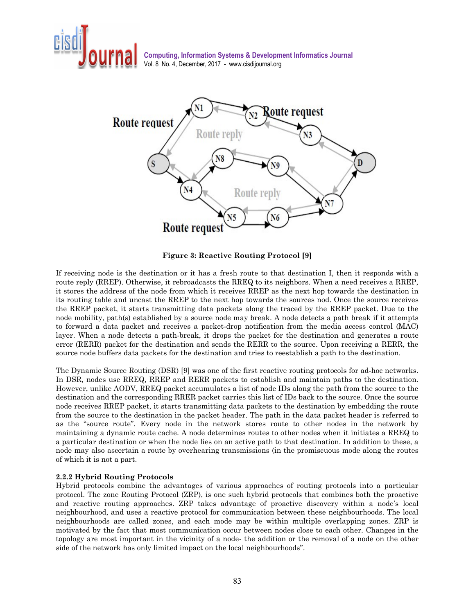



Figure 3: Reactive Routing Protocol [9]

If receiving node is the destination or it has a fresh route to that destination I, then it responds with a route reply (RREP). Otherwise, it rebroadcasts the RREQ to its neighbors. When a need receives a RREP, it stores the address of the node from which it receives RREP as the next hop towards the destination in its routing table and uncast the RREP to the next hop towards the sources nod. Once the source receives the RREP packet, it starts transmitting data packets along the traced by the RREP packet. Due to the node mobility, path(s) established by a source node may break. A node detects a path break if it attempts to forward a data packet and receives a packet-drop notification from the media access control (MAC) layer. When a node detects a path-break, it drops the packet for the destination and generates a route error (RERR) packet for the destination and sends the RERR to the source. Upon receiving a RERR, the source node buffers data packets for the destination and tries to reestablish a path to the destination.

The Dynamic Source Routing (DSR) [9] was one of the first reactive routing protocols for ad-hoc networks. In DSR, nodes use RREQ, RREP and RERR packets to establish and maintain paths to the destination. However, unlike AODV, RREQ packet accumulates a list of node IDs along the path from the source to the destination and the corresponding RRER packet carries this list of IDs back to the source. Once the source node receives RREP packet, it starts transmitting data packets to the destination by embedding the route from the source to the destination in the packet header. The path in the data packet header is referred to as the "source route". Every node in the network stores route to other nodes in the network by maintaining a dynamic route cache. A node determines routes to other nodes when it initiates a RREQ to a particular destination or when the node lies on an active path to that destination. In addition to these, a node may also ascertain a route by overhearing transmissions (in the promiscuous mode along the routes of which it is not a part.

# 2.2.2 Hybrid Routing Protocols

Hybrid protocols combine the advantages of various approaches of routing protocols into a particular protocol. The zone Routing Protocol (ZRP), is one such hybrid protocols that combines both the proactive and reactive routing approaches. ZRP takes advantage of proactive discovery within a node's local neighbourhood, and uses a reactive protocol for communication between these neighbourhoods. The local neighbourhoods are called zones, and each mode may be within multiple overlapping zones. ZRP is motivated by the fact that most communication occur between nodes close to each other. Changes in the topology are most important in the vicinity of a node- the addition or the removal of a node on the other side of the network has only limited impact on the local neighbourhoods".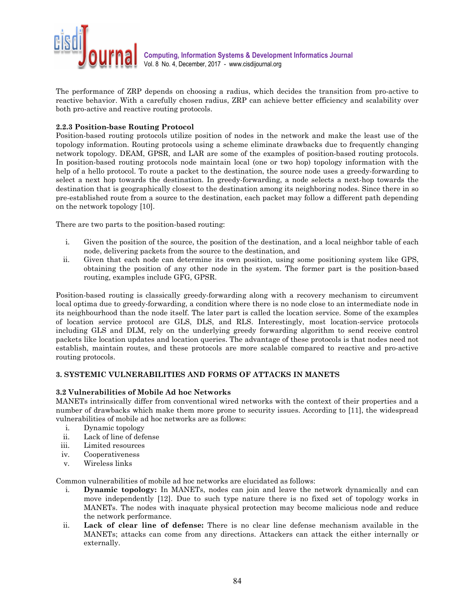

The performance of ZRP depends on choosing a radius, which decides the transition from pro-active to reactive behavior. With a carefully chosen radius, ZRP can achieve better efficiency and scalability over both pro-active and reactive routing protocols.

# 2.2.3 Position-base Routing Protocol

Position-based routing protocols utilize position of nodes in the network and make the least use of the topology information. Routing protocols using a scheme eliminate drawbacks due to frequently changing network topology. DEAM, GPSR, and LAR are some of the examples of position-based routing protocols. In position-based routing protocols node maintain local (one or two hop) topology information with the help of a hello protocol. To route a packet to the destination, the source node uses a greedy-forwarding to select a next hop towards the destination. In greedy-forwarding, a node selects a next-hop towards the destination that is geographically closest to the destination among its neighboring nodes. Since there in so pre-established route from a source to the destination, each packet may follow a different path depending on the network topology [10].

There are two parts to the position-based routing:

- i. Given the position of the source, the position of the destination, and a local neighbor table of each node, delivering packets from the source to the destination, and
- ii. Given that each node can determine its own position, using some positioning system like GPS, obtaining the position of any other node in the system. The former part is the position-based routing, examples include GFG, GPSR.

Position-based routing is classically greedy-forwarding along with a recovery mechanism to circumvent local optima due to greedy-forwarding, a condition where there is no node close to an intermediate node in its neighbourhood than the node itself. The later part is called the location service. Some of the examples of location service protocol are GLS, DLS, and RLS. Interestingly, most location-service protocols including GLS and DLM, rely on the underlying greedy forwarding algorithm to send receive control packets like location updates and location queries. The advantage of these protocols is that nodes need not establish, maintain routes, and these protocols are more scalable compared to reactive and pro-active routing protocols.

# 3. SYSTEMIC VULNERABILITIES AND FORMS OF ATTACKS IN MANETS

# 3.2 Vulnerabilities of Mobile Ad hoc Networks

MANETs intrinsically differ from conventional wired networks with the context of their properties and a number of drawbacks which make them more prone to security issues. According to [11], the widespread vulnerabilities of mobile ad hoc networks are as follows:

- i. Dynamic topology
- ii. Lack of line of defense
- iii. Limited resources
- iv. Cooperativeness
- v. Wireless links

Common vulnerabilities of mobile ad hoc networks are elucidated as follows:

- i. Dynamic topology: In MANETs, nodes can join and leave the network dynamically and can move independently [12]. Due to such type nature there is no fixed set of topology works in MANETs. The nodes with inaquate physical protection may become malicious node and reduce the network performance.
- ii. Lack of clear line of defense: There is no clear line defense mechanism available in the MANETs; attacks can come from any directions. Attackers can attack the either internally or externally.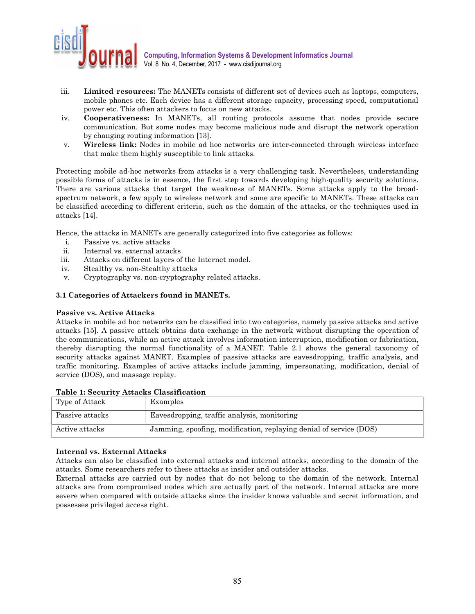

- iii. Limited resources: The MANETs consists of different set of devices such as laptops, computers, mobile phones etc. Each device has a different storage capacity, processing speed, computational power etc. This often attackers to focus on new attacks.
- iv. Cooperativeness: In MANETs, all routing protocols assume that nodes provide secure communication. But some nodes may become malicious node and disrupt the network operation by changing routing information [13].
- v. Wireless link: Nodes in mobile ad hoc networks are inter-connected through wireless interface that make them highly susceptible to link attacks.

Protecting mobile ad-hoc networks from attacks is a very challenging task. Nevertheless, understanding possible forms of attacks is in essence, the first step towards developing high-quality security solutions. There are various attacks that target the weakness of MANETs. Some attacks apply to the broadspectrum network, a few apply to wireless network and some are specific to MANETs. These attacks can be classified according to different criteria, such as the domain of the attacks, or the techniques used in attacks [14].

Hence, the attacks in MANETs are generally categorized into five categories as follows:

- i. Passive vs. active attacks
- ii. Internal vs. external attacks
- iii. Attacks on different layers of the Internet model.
- iv. Stealthy vs. non-Stealthy attacks
- v. Cryptography vs. non-cryptography related attacks.

## 3.1 Categories of Attackers found in MANETs.

#### Passive vs. Active Attacks

Attacks in mobile ad hoc networks can be classified into two categories, namely passive attacks and active attacks [15]. A passive attack obtains data exchange in the network without disrupting the operation of the communications, while an active attack involves information interruption, modification or fabrication, thereby disrupting the normal functionality of a MANET. Table 2.1 shows the general taxonomy of security attacks against MANET. Examples of passive attacks are eavesdropping, traffic analysis, and traffic monitoring. Examples of active attacks include jamming, impersonating, modification, denial of service (DOS), and massage replay.

| Type of Attack  | Examples                                                           |
|-----------------|--------------------------------------------------------------------|
| Passive attacks | Eavesdropping, traffic analysis, monitoring                        |
| Active attacks  | Jamming, spoofing, modification, replaying denial of service (DOS) |

#### Table 1: Security Attacks Classification

# Internal vs. External Attacks

Attacks can also be classified into external attacks and internal attacks, according to the domain of the attacks. Some researchers refer to these attacks as insider and outsider attacks.

External attacks are carried out by nodes that do not belong to the domain of the network. Internal attacks are from compromised nodes which are actually part of the network. Internal attacks are more severe when compared with outside attacks since the insider knows valuable and secret information, and possesses privileged access right.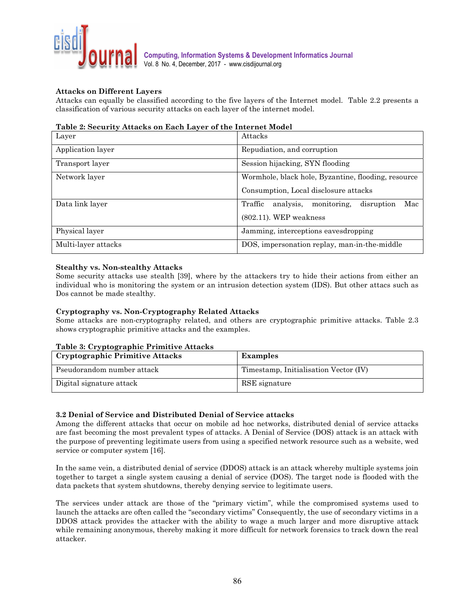

# Attacks on Different Layers

Attacks can equally be classified according to the five layers of the Internet model. Table 2.2 presents a classification of various security attacks on each layer of the internet model.

## Table 2: Security Attacks on Each Layer of the Internet Model

| Layer               | Attacks                                                  |
|---------------------|----------------------------------------------------------|
| Application layer   | Repudiation, and corruption                              |
| Transport layer     | Session hijacking, SYN flooding                          |
| Network layer       | Wormhole, black hole, Byzantine, flooding, resource      |
|                     | Consumption, Local disclosure attacks                    |
| Data link layer     | Traffic<br>analysis,<br>monitoring,<br>Mac<br>disruption |
|                     | $(802.11)$ . WEP weakness                                |
| Physical layer      | Jamming, interceptions eavesdropping                     |
| Multi-layer attacks | DOS, impersonation replay, man-in-the-middle             |

# Stealthy vs. Non-stealthy Attacks

Some security attacks use stealth [39], where by the attackers try to hide their actions from either an individual who is monitoring the system or an intrusion detection system (IDS). But other attacs such as Dos cannot be made stealthy.

# Cryptography vs. Non-Cryptography Related Attacks

Some attacks are non-cryptography related, and others are cryptographic primitive attacks. Table 2.3 shows cryptographic primitive attacks and the examples.

# Table 3: Cryptographic Primitive Attacks

| <b>Cryptographic Primitive Attacks</b> | <b>Examples</b>                       |
|----------------------------------------|---------------------------------------|
| Pseudorandom number attack             | Timestamp, Initialisation Vector (IV) |
| Digital signature attack               | RSE signature                         |

#### 3.2 Denial of Service and Distributed Denial of Service attacks

Among the different attacks that occur on mobile ad hoc networks, distributed denial of service attacks are fast becoming the most prevalent types of attacks. A Denial of Service (DOS) attack is an attack with the purpose of preventing legitimate users from using a specified network resource such as a website, wed service or computer system [16].

In the same vein, a distributed denial of service (DDOS) attack is an attack whereby multiple systems join together to target a single system causing a denial of service (DOS). The target node is flooded with the data packets that system shutdowns, thereby denying service to legitimate users.

The services under attack are those of the "primary victim", while the compromised systems used to launch the attacks are often called the "secondary victims" Consequently, the use of secondary victims in a DDOS attack provides the attacker with the ability to wage a much larger and more disruptive attack while remaining anonymous, thereby making it more difficult for network forensics to track down the real attacker.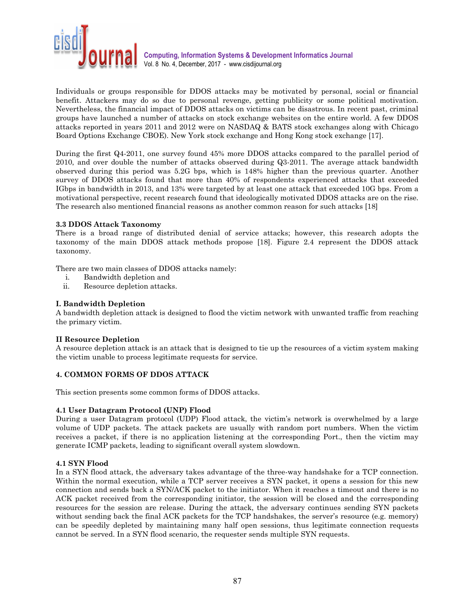

Individuals or groups responsible for DDOS attacks may be motivated by personal, social or financial benefit. Attackers may do so due to personal revenge, getting publicity or some political motivation. Nevertheless, the financial impact of DDOS attacks on victims can be disastrous. In recent past, criminal groups have launched a number of attacks on stock exchange websites on the entire world. A few DDOS attacks reported in years 2011 and 2012 were on NASDAQ & BATS stock exchanges along with Chicago Board Options Exchange CBOE). New York stock exchange and Hong Kong stock exchange [17].

During the first Q4-2011, one survey found 45% more DDOS attacks compared to the parallel period of 2010, and over double the number of attacks observed during Q3-2011. The average attack bandwidth observed during this period was 5.2G bps, which is 148% higher than the previous quarter. Another survey of DDOS attacks found that more than 40% of respondents experienced attacks that exceeded IGbps in bandwidth in 2013, and 13% were targeted by at least one attack that exceeded 10G bps. From a motivational perspective, recent research found that ideologically motivated DDOS attacks are on the rise. The research also mentioned financial reasons as another common reason for such attacks [18]

# 3.3 DDOS Attack Taxonomy

There is a broad range of distributed denial of service attacks; however, this research adopts the taxonomy of the main DDOS attack methods propose [18]. Figure 2.4 represent the DDOS attack taxonomy.

There are two main classes of DDOS attacks namely:

- i. Bandwidth depletion and
- ii. Resource depletion attacks.

## I. Bandwidth Depletion

A bandwidth depletion attack is designed to flood the victim network with unwanted traffic from reaching the primary victim.

#### II Resource Depletion

A resource depletion attack is an attack that is designed to tie up the resources of a victim system making the victim unable to process legitimate requests for service.

## 4. COMMON FORMS OF DDOS ATTACK

This section presents some common forms of DDOS attacks.

#### 4.1 User Datagram Protocol (UNP) Flood

During a user Datagram protocol (UDP) Flood attack, the victim's network is overwhelmed by a large volume of UDP packets. The attack packets are usually with random port numbers. When the victim receives a packet, if there is no application listening at the corresponding Port., then the victim may generate ICMP packets, leading to significant overall system slowdown.

#### 4.1 SYN Flood

In a SYN flood attack, the adversary takes advantage of the three-way handshake for a TCP connection. Within the normal execution, while a TCP server receives a SYN packet, it opens a session for this new connection and sends back a SYN/ACK packet to the initiator. When it reaches a timeout and there is no ACK packet received from the corresponding initiator, the session will be closed and the corresponding resources for the session are release. During the attack, the adversary continues sending SYN packets without sending back the final ACK packets for the TCP handshakes, the server's resource (e.g. memory) can be speedily depleted by maintaining many half open sessions, thus legitimate connection requests cannot be served. In a SYN flood scenario, the requester sends multiple SYN requests.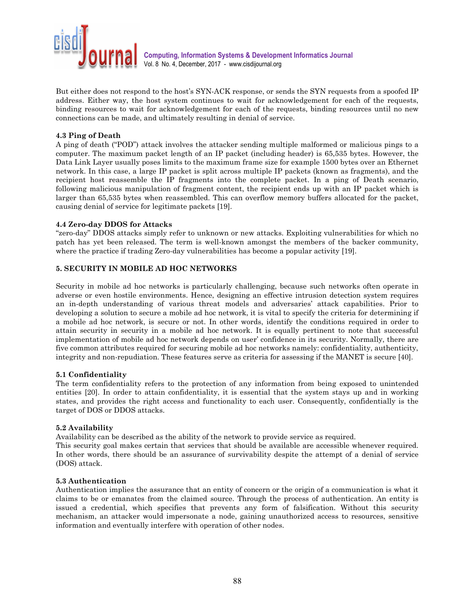

But either does not respond to the host's SYN-ACK response, or sends the SYN requests from a spoofed IP address. Either way, the host system continues to wait for acknowledgement for each of the requests, binding resources to wait for acknowledgement for each of the requests, binding resources until no new connections can be made, and ultimately resulting in denial of service.

## 4.3 Ping of Death

A ping of death ("POD") attack involves the attacker sending multiple malformed or malicious pings to a computer. The maximum packet length of an IP packet (including header) is 65,535 bytes. However, the Data Link Layer usually poses limits to the maximum frame size for example 1500 bytes over an Ethernet network. In this case, a large IP packet is split across multiple IP packets (known as fragments), and the recipient host reassemble the IP fragments into the complete packet. In a ping of Death scenario, following malicious manipulation of fragment content, the recipient ends up with an IP packet which is larger than 65,535 bytes when reassembled. This can overflow memory buffers allocated for the packet, causing denial of service for legitimate packets [19].

## 4.4 Zero-day DDOS for Attacks

"zero-day" DDOS attacks simply refer to unknown or new attacks. Exploiting vulnerabilities for which no patch has yet been released. The term is well-known amongst the members of the backer community, where the practice if trading Zero-day vulnerabilities has become a popular activity [19].

# 5. SECURITY IN MOBILE AD HOC NETWORKS

Security in mobile ad hoc networks is particularly challenging, because such networks often operate in adverse or even hostile environments. Hence, designing an effective intrusion detection system requires an in-depth understanding of various threat models and adversaries' attack capabilities. Prior to developing a solution to secure a mobile ad hoc network, it is vital to specify the criteria for determining if a mobile ad hoc network, is secure or not. In other words, identify the conditions required in order to attain security in security in a mobile ad hoc network. It is equally pertinent to note that successful implementation of mobile ad hoc network depends on user' confidence in its security. Normally, there are five common attributes required for securing mobile ad hoc networks namely: confidentiality, authenticity, integrity and non-repudiation. These features serve as criteria for assessing if the MANET is secure [40].

#### 5.1 Confidentiality

The term confidentiality refers to the protection of any information from being exposed to unintended entities [20]. In order to attain confidentiality, it is essential that the system stays up and in working states, and provides the right access and functionality to each user. Consequently, confidentially is the target of DOS or DDOS attacks.

#### 5.2 Availability

Availability can be described as the ability of the network to provide service as required.

This security goal makes certain that services that should be available are accessible whenever required. In other words, there should be an assurance of survivability despite the attempt of a denial of service (DOS) attack.

#### 5.3 Authentication

Authentication implies the assurance that an entity of concern or the origin of a communication is what it claims to be or emanates from the claimed source. Through the process of authentication. An entity is issued a credential, which specifies that prevents any form of falsification. Without this security mechanism, an attacker would impersonate a node, gaining unauthorized access to resources, sensitive information and eventually interfere with operation of other nodes.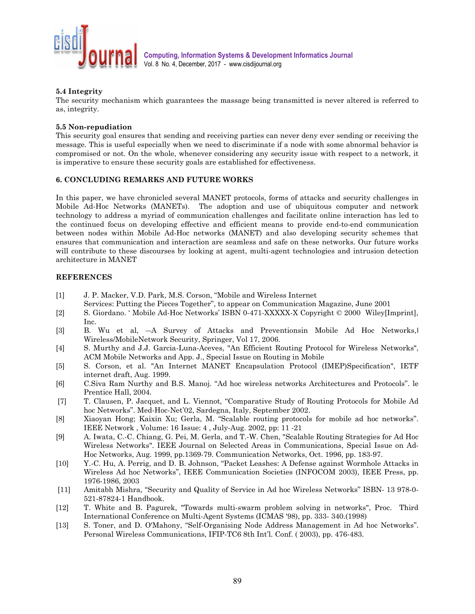

# 5.4 Integrity

The security mechanism which guarantees the massage being transmitted is never altered is referred to as, integrity.

## 5.5 Non-repudiation

This security goal ensures that sending and receiving parties can never deny ever sending or receiving the message. This is useful especially when we need to discriminate if a node with some abnormal behavior is compromised or not. On the whole, whenever considering any security issue with respect to a network, it is imperative to ensure these security goals are established for effectiveness.

## 6. CONCLUDING REMARKS AND FUTURE WORKS

In this paper, we have chronicled several MANET protocols, forms of attacks and security challenges in Mobile Ad-Hoc Networks (MANETs). The adoption and use of ubiquitous computer and network technology to address a myriad of communication challenges and facilitate online interaction has led to the continued focus on developing effective and efficient means to provide end-to-end communication between nodes within Mobile Ad-Hoc networks (MANET) and also developing security schemes that ensures that communication and interaction are seamless and safe on these networks. Our future works will contribute to these discourses by looking at agent, multi-agent technologies and intrusion detection architecture in MANET

## **REFERENCES**

- [1] J. P. Macker, V.D. Park, M.S. Corson, "Mobile and Wireless Internet
- Services: Putting the Pieces Together", to appear on Communication Magazine, June 2001 [2] S. Giordano. ' Mobile Ad-Hoc Networks' ISBN 0-471-XXXXX-X Copyright © 2000 Wiley[Imprint],
- Inc. [3] B. Wu et al,  $-A$  Survey of Attacks and Preventionsin Mobile Ad Hoc Networks,
- Wireless/MobileNetwork Security, Springer, Vol 17, 2006. [4] S. Murthy and J.J. Garcia-Luna-Aceves, "An Efficient Routing Protocol for Wireless Networks",
- ACM Mobile Networks and App. J., Special Issue on Routing in Mobile
- [5] S. Corson, et al. "An Internet MANET Encapsulation Protocol (IMEP)Specification", IETF internet draft, Aug. 1999.
- [6] C.Siva Ram Nurthy and B.S. Manoj. "Ad hoc wireless networks Architectures and Protocols". le Prentice Hall, 2004.
- [7] T. Clausen, P. Jacquet, and L. Viennot, "Comparative Study of Routing Protocols for Mobile Ad hoc Networks". Med-Hoc-Net'02, Sardegna, Italy, September 2002.
- [8] Xiaoyan Hong; Kaixin Xu; Gerla, M. "Scalable routing protocols for mobile ad hoc networks". IEEE Network , Volume: 16 Issue: 4 , July-Aug. 2002, pp: 11 -21
- [9] A. Iwata, C.-C. Chiang, G. Pei, M. Gerla, and T.-W. Chen, "Scalable Routing Strategies for Ad Hoc Wireless Networks". IEEE Journal on Selected Areas in Communications, Special Issue on Ad-Hoc Networks, Aug. 1999, pp.1369-79. Communication Networks, Oct. 1996, pp. 183-97.
- [10] Y.-C. Hu, A. Perrig, and D. B. Johnson, "Packet Leashes: A Defense against Wormhole Attacks in Wireless Ad hoc Networks", IEEE Communication Societies (INFOCOM 2003), IEEE Press, pp. 1976-1986, 2003
- [11] Amitabh Mishra, "Security and Quality of Service in Ad hoc Wireless Networks" ISBN- 13 978-0- 521-87824-1 Handbook.
- [12] T. White and B. Pagurek, "Towards multi-swarm problem solving in networks", Proc. Third International Conference on Multi-Agent Systems (ICMAS '98), pp. 333- 340.(1998)
- [13] S. Toner, and D. O'Mahony, "Self-Organising Node Address Management in Ad hoc Networks". Personal Wireless Communications, IFIP-TC6 8th Int'l. Conf. ( 2003), pp. 476-483.